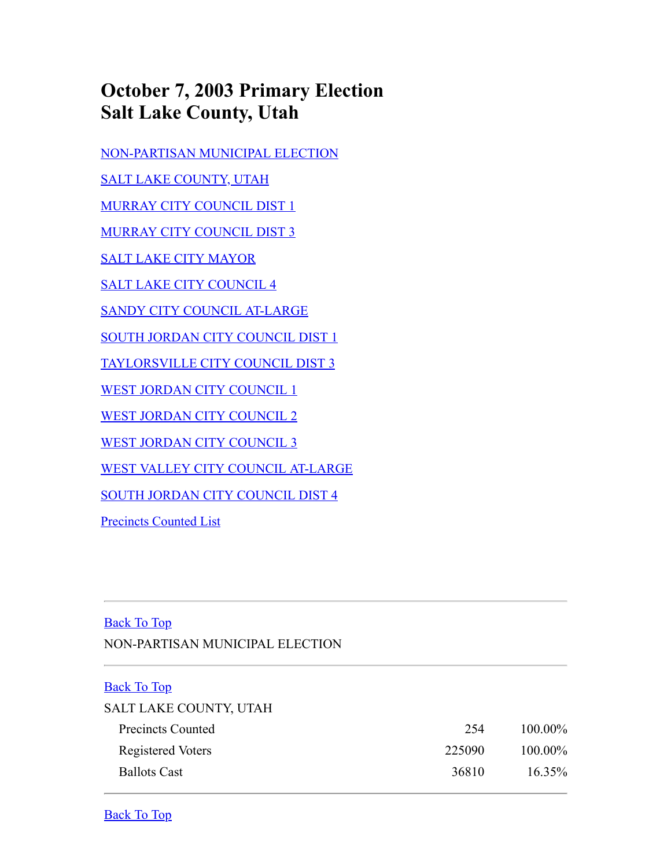## **October 7, 2003 Primary Election Salt Lake County, Utah**

[NON-PARTISAN MUNICIPAL ELECTION](#page-0-0)

[SALT LAKE COUNTY, UTAH](#page-0-1)

[MURRAY CITY COUNCIL DIST 1](#page-0-2)

[MURRAY CITY COUNCIL DIST 3](#page-1-0)

[SALT LAKE CITY MAYOR](#page-1-1)

[SALT LAKE CITY COUNCIL 4](#page-2-0)

[SANDY CITY COUNCIL AT-LARGE](#page-2-1)

[SOUTH JORDAN CITY COUNCIL DIST 1](#page-2-2)

[TAYLORSVILLE CITY COUNCIL DIST 3](#page-3-0)

[WEST JORDAN CITY COUNCIL 1](#page-3-1)

[WEST JORDAN CITY COUNCIL 2](#page-3-2)

[WEST JORDAN CITY COUNCIL 3](#page-4-0)

[WEST VALLEY CITY COUNCIL AT-LARGE](#page-4-1)

[SOUTH JORDAN CITY COUNCIL DIST 4](#page-3-3)

[Precincts Counted List](#page-4-2)

## <span id="page-0-0"></span>Back To Top

NON-PARTISAN MUNICIPAL ELECTION

## <span id="page-0-1"></span>Back To Top

## SALT LAKE COUNTY, UTAH Precincts Counted 254 100.00% Registered Voters 225090 100.00%

Ballots Cast 36810 16.35%

<span id="page-0-2"></span>Back To Top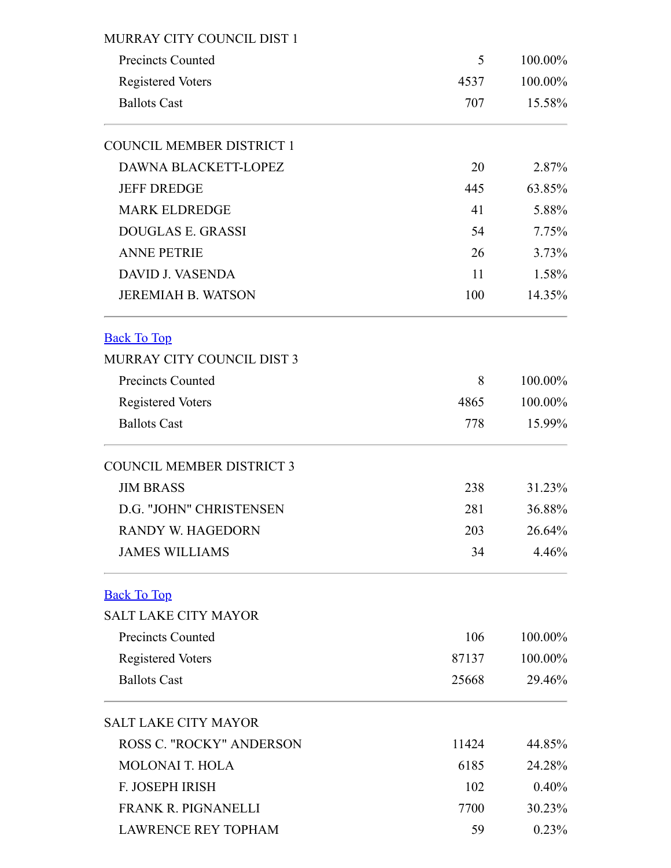<span id="page-1-1"></span><span id="page-1-0"></span>

| MURRAY CITY COUNCIL DIST 1       |       |         |  |  |  |  |
|----------------------------------|-------|---------|--|--|--|--|
| <b>Precincts Counted</b>         | 5     | 100.00% |  |  |  |  |
| <b>Registered Voters</b>         | 4537  | 100.00% |  |  |  |  |
| <b>Ballots Cast</b>              | 707   | 15.58%  |  |  |  |  |
| <b>COUNCIL MEMBER DISTRICT 1</b> |       |         |  |  |  |  |
| <b>DAWNA BLACKETT-LOPEZ</b>      | 20    | 2.87%   |  |  |  |  |
| <b>JEFF DREDGE</b><br>445        |       |         |  |  |  |  |
| <b>MARK ELDREDGE</b>             | 41    | 5.88%   |  |  |  |  |
| <b>DOUGLAS E. GRASSI</b>         | 54    | 7.75%   |  |  |  |  |
| <b>ANNE PETRIE</b>               | 26    | 3.73%   |  |  |  |  |
| <b>DAVID J. VASENDA</b>          | 11    | 1.58%   |  |  |  |  |
| <b>JEREMIAH B. WATSON</b>        | 100   | 14.35%  |  |  |  |  |
| <b>Back To Top</b>               |       |         |  |  |  |  |
| MURRAY CITY COUNCIL DIST 3       |       |         |  |  |  |  |
| <b>Precincts Counted</b>         | 8     | 100.00% |  |  |  |  |
| <b>Registered Voters</b>         | 4865  | 100.00% |  |  |  |  |
| <b>Ballots Cast</b>              | 778   | 15.99%  |  |  |  |  |
| <b>COUNCIL MEMBER DISTRICT 3</b> |       |         |  |  |  |  |
| <b>JIM BRASS</b>                 | 238   | 31.23%  |  |  |  |  |
| D.G. "JOHN" CHRISTENSEN          | 281   | 36.88%  |  |  |  |  |
| <b>RANDY W. HAGEDORN</b>         | 203   | 26.64%  |  |  |  |  |
| <b>JAMES WILLIAMS</b>            | 34    | 4.46%   |  |  |  |  |
| <b>Back To Top</b>               |       |         |  |  |  |  |
| <b>SALT LAKE CITY MAYOR</b>      |       |         |  |  |  |  |
| <b>Precincts Counted</b>         | 106   | 100.00% |  |  |  |  |
| <b>Registered Voters</b>         | 87137 | 100.00% |  |  |  |  |
| <b>Ballots Cast</b>              | 25668 | 29.46%  |  |  |  |  |
| <b>SALT LAKE CITY MAYOR</b>      |       |         |  |  |  |  |
| <b>ROSS C. "ROCKY" ANDERSON</b>  | 11424 | 44.85%  |  |  |  |  |
| <b>MOLONAI T. HOLA</b>           | 6185  | 24.28%  |  |  |  |  |
| F. JOSEPH IRISH                  | 102   | 0.40%   |  |  |  |  |
| <b>FRANK R. PIGNANELLI</b>       | 7700  | 30.23%  |  |  |  |  |
| <b>LAWRENCE REY TOPHAM</b>       | 59    | 0.23%   |  |  |  |  |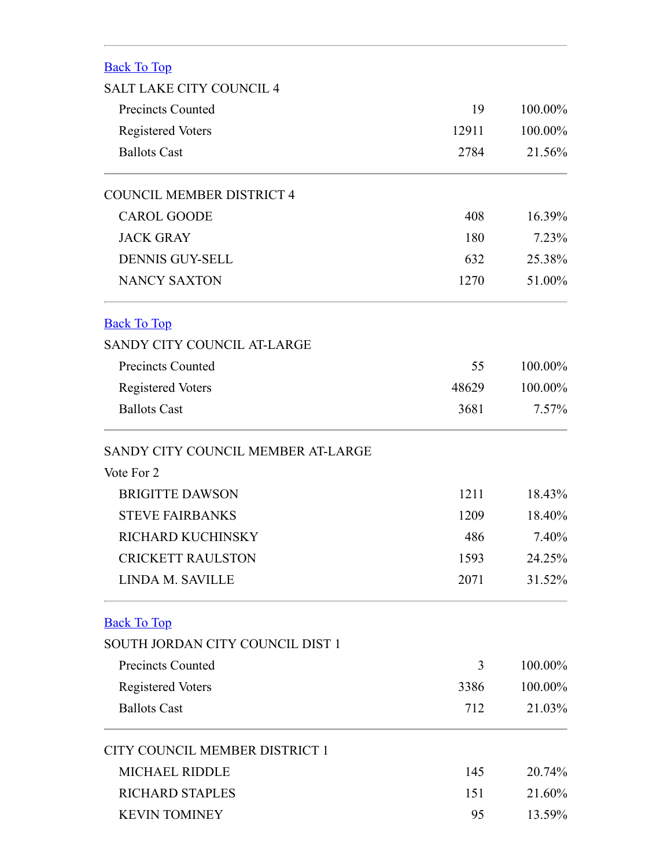<span id="page-2-2"></span><span id="page-2-1"></span><span id="page-2-0"></span>

| <b>Back To Top</b>                 |       |          |
|------------------------------------|-------|----------|
| <b>SALT LAKE CITY COUNCIL 4</b>    |       |          |
| <b>Precincts Counted</b>           | 19    | 100.00%  |
| <b>Registered Voters</b>           | 12911 | 100.00%  |
| <b>Ballots Cast</b>                | 2784  | 21.56%   |
| <b>COUNCIL MEMBER DISTRICT 4</b>   |       |          |
| <b>CAROL GOODE</b>                 | 408   | 16.39%   |
| <b>JACK GRAY</b>                   | 180   | 7.23%    |
| <b>DENNIS GUY-SELL</b>             | 632   | 25.38%   |
| <b>NANCY SAXTON</b>                | 1270  | 51.00%   |
| <b>Back To Top</b>                 |       |          |
| SANDY CITY COUNCIL AT-LARGE        |       |          |
| <b>Precincts Counted</b>           | 55    | 100.00%  |
| <b>Registered Voters</b>           | 48629 | 100.00%  |
| <b>Ballots Cast</b>                | 3681  | $7.57\%$ |
| SANDY CITY COUNCIL MEMBER AT-LARGE |       |          |
| Vote For 2                         |       |          |
| <b>BRIGITTE DAWSON</b>             | 1211  | 18.43%   |
| <b>STEVE FAIRBANKS</b>             | 1209  | 18.40%   |
| RICHARD KUCHINSKY                  | 486   | 7.40%    |
| <b>CRICKETT RAULSTON</b>           | 1593  | 24.25%   |
| LINDA M. SAVILLE                   | 2071  | 31.52%   |
| <b>Back To Top</b>                 |       |          |
| SOUTH JORDAN CITY COUNCIL DIST 1   |       |          |
| <b>Precincts Counted</b>           | 3     | 100.00%  |
| <b>Registered Voters</b>           | 3386  | 100.00%  |
| <b>Ballots Cast</b>                | 712   | 21.03%   |
| CITY COUNCIL MEMBER DISTRICT 1     |       |          |
| <b>MICHAEL RIDDLE</b>              | 145   | 20.74%   |
| <b>RICHARD STAPLES</b>             | 151   | 21.60%   |
| <b>KEVIN TOMINEY</b>               | 95    | 13.59%   |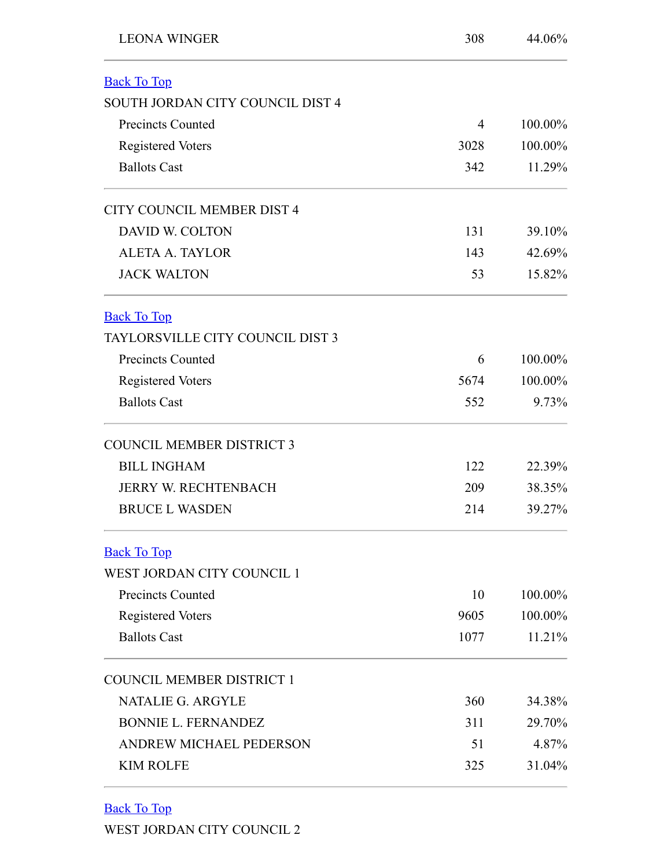<span id="page-3-3"></span><span id="page-3-0"></span>

| <b>LEONA WINGER</b>                     | 308  | 44.06%  |
|-----------------------------------------|------|---------|
| <b>Back To Top</b>                      |      |         |
| SOUTH JORDAN CITY COUNCIL DIST 4        |      |         |
| <b>Precincts Counted</b>                | 4    | 100.00% |
| <b>Registered Voters</b>                | 3028 | 100.00% |
| <b>Ballots Cast</b>                     | 342  | 11.29%  |
| CITY COUNCIL MEMBER DIST 4              |      |         |
| <b>DAVID W. COLTON</b>                  | 131  | 39.10%  |
| <b>ALETA A. TAYLOR</b>                  | 143  | 42.69%  |
| <b>JACK WALTON</b>                      | 53   | 15.82%  |
| <b>Back To Top</b>                      |      |         |
| <b>TAYLORSVILLE CITY COUNCIL DIST 3</b> |      |         |
| <b>Precincts Counted</b>                | 6    | 100.00% |
| <b>Registered Voters</b>                | 5674 | 100.00% |
| <b>Ballots Cast</b>                     | 552  | 9.73%   |
| <b>COUNCIL MEMBER DISTRICT 3</b>        |      |         |
| <b>BILL INGHAM</b>                      | 122  | 22.39%  |
| <b>JERRY W. RECHTENBACH</b>             | 209  | 38.35%  |
| <b>BRUCE L WASDEN</b>                   | 214  | 39.27%  |
| <b>Back To Top</b>                      |      |         |
| WEST JORDAN CITY COUNCIL 1              |      |         |
| <b>Precincts Counted</b>                | 10   | 100.00% |
| <b>Registered Voters</b>                | 9605 | 100.00% |
| <b>Ballots Cast</b>                     | 1077 | 11.21%  |
| <b>COUNCIL MEMBER DISTRICT 1</b>        |      |         |
| <b>NATALIE G. ARGYLE</b>                | 360  | 34.38%  |
| <b>BONNIE L. FERNANDEZ</b>              | 311  | 29.70%  |
| ANDREW MICHAEL PEDERSON                 | 51   | 4.87%   |
| <b>KIM ROLFE</b>                        | 325  | 31.04%  |

<span id="page-3-2"></span><span id="page-3-1"></span>Back To Top

WEST JORDAN CITY COUNCIL 2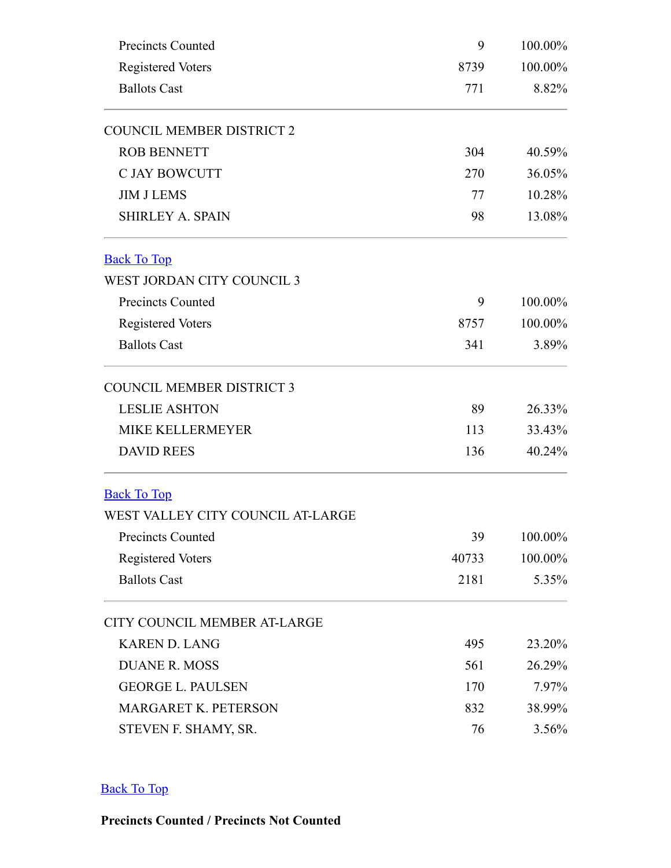<span id="page-4-0"></span>

| Precincts Counted                 | 9      | 100.00%          |  |
|-----------------------------------|--------|------------------|--|
| <b>Registered Voters</b>          | 8739   |                  |  |
| <b>Ballots Cast</b>               | 771    | 100.00%<br>8.82% |  |
| <b>COUNCIL MEMBER DISTRICT 2</b>  |        |                  |  |
| <b>ROB BENNETT</b>                | 304    | 40.59%           |  |
| <b>C JAY BOWCUTT</b>              | 36.05% |                  |  |
| <b>JIM J LEMS</b>                 | 77     | 10.28%           |  |
| <b>SHIRLEY A. SPAIN</b>           | 98     | 13.08%           |  |
| <b>Back To Top</b>                |        |                  |  |
| WEST JORDAN CITY COUNCIL 3        |        |                  |  |
| <b>Precincts Counted</b>          | 9      | 100.00%          |  |
| <b>Registered Voters</b>          | 8757   | 100.00%          |  |
| <b>Ballots Cast</b>               | 341    | 3.89%            |  |
| <b>COUNCIL MEMBER DISTRICT 3</b>  |        |                  |  |
| <b>LESLIE ASHTON</b>              | 89     | 26.33%           |  |
| <b>MIKE KELLERMEYER</b>           | 113    | 33.43%           |  |
| <b>DAVID REES</b>                 | 136    | 40.24%           |  |
| <b>Back To Top</b>                |        |                  |  |
| WEST VALLEY CITY COUNCIL AT-LARGE |        |                  |  |
| Precincts Counted                 | 39     | 100.00%          |  |
| <b>Registered Voters</b>          | 40733  | 100.00%          |  |
| <b>Ballots Cast</b>               | 2181   | 5.35%            |  |
| CITY COUNCIL MEMBER AT-LARGE      |        |                  |  |
| <b>KAREN D. LANG</b>              | 495    | 23.20%           |  |
| <b>DUANE R. MOSS</b>              | 561    | 26.29%           |  |
| <b>GEORGE L. PAULSEN</b>          | 170    | 7.97%            |  |
| MARGARET K. PETERSON              | 832    | 38.99%           |  |
| STEVEN F. SHAMY, SR.              | 76     | 3.56%            |  |

<span id="page-4-2"></span><span id="page-4-1"></span>Back To Top

**Precincts Counted / Precincts Not Counted**